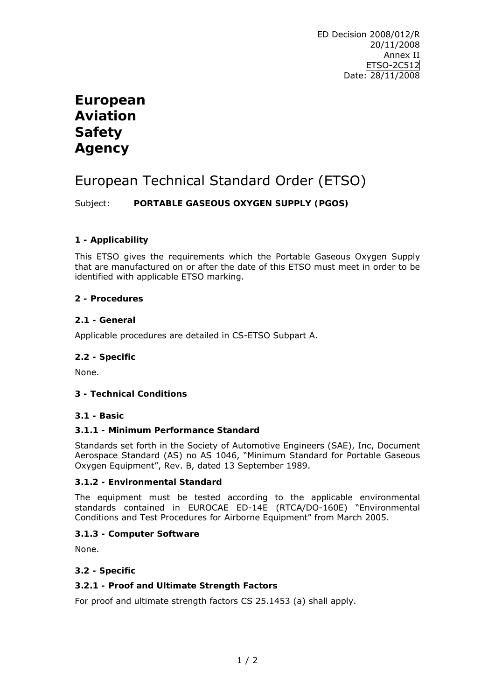# **European Aviation Safety Agency**

# European Technical Standard Order (ETSO)

Subject: **PORTABLE GASEOUS OXYGEN SUPPLY (PGOS)**

## **1 - Applicability**

This ETSO gives the requirements which the Portable Gaseous Oxygen Supply that are manufactured on or after the date of this ETSO must meet in order to be identified with applicable ETSO marking.

### **2 - Procedures**

### **2.1 - General**

Applicable procedures are detailed in CS-ETSO Subpart A.

#### **2.2 - Specific**

None.

## **3 - Technical Conditions**

#### **3.1 - Basic**

## **3.1.1 - Minimum Performance Standard**

Standards set forth in the Society of Automotive Engineers (SAE), Inc, Document Aerospace Standard (AS) no AS 1046, "Minimum Standard for Portable Gaseous Oxygen Equipment", Rev. B, dated 13 September 1989.

#### **3.1.2 - Environmental Standard**

The equipment must be tested according to the applicable environmental standards contained in EUROCAE ED-14E (RTCA/DO-160E) "*Environmental Conditions and Test Procedures for Airborne Equipment"* from March 2005.

#### **3.1.3 - Computer Software**

None.

## **3.2 - Specific**

## **3.2.1 - Proof and Ultimate Strength Factors**

For proof and ultimate strength factors CS 25.1453 (a) shall apply.